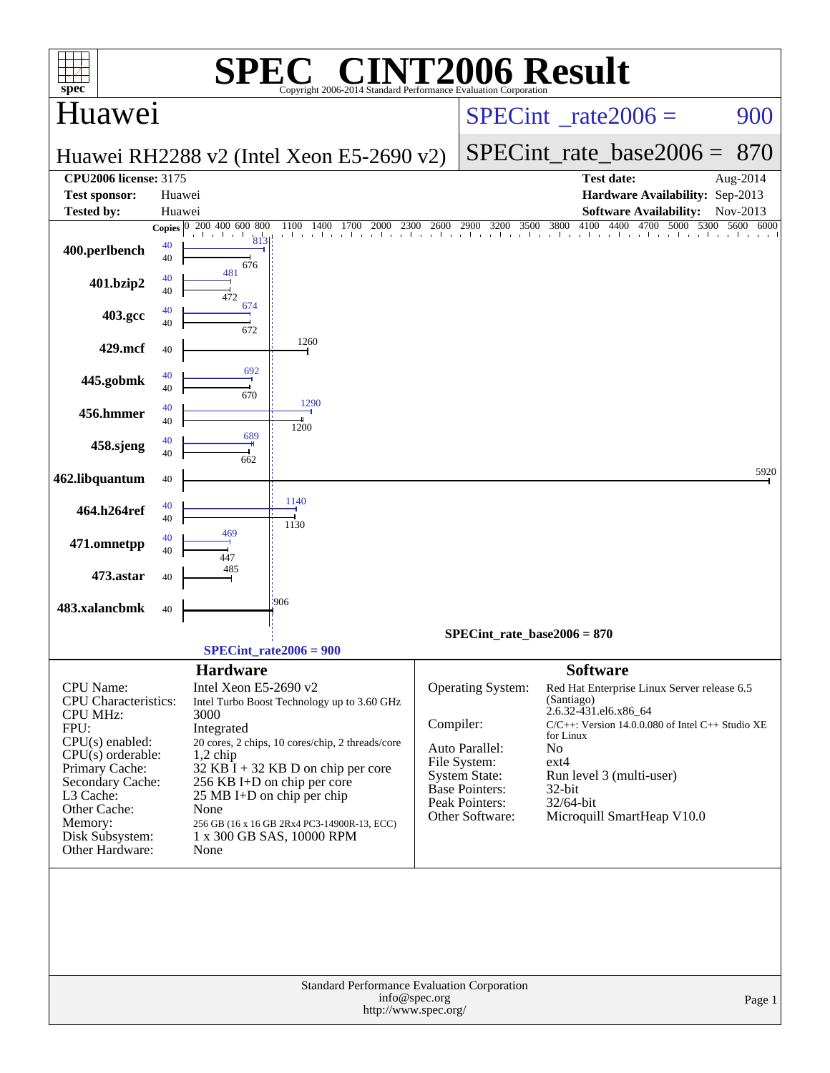| $spec^*$                           |              | SPE                    | $\bigcap$ $\mathbb{R}$ $\bigcap$<br>Copyright 2006-2014 Standard Performance Evaluation Cornoration |                                       | <b>INT2006 Result</b>             |                       |                                                       |                      |
|------------------------------------|--------------|------------------------|-----------------------------------------------------------------------------------------------------|---------------------------------------|-----------------------------------|-----------------------|-------------------------------------------------------|----------------------|
| Huawei                             |              |                        |                                                                                                     | $SPECint^{\circ}$ rate $2006 =$       |                                   |                       | 900                                                   |                      |
|                                    |              |                        | Huawei RH2288 v2 (Intel Xeon E5-2690 v2)                                                            |                                       |                                   |                       | $SPECint$ rate_base2006 =                             | 870                  |
| <b>CPU2006 license: 3175</b>       |              |                        |                                                                                                     |                                       |                                   |                       | <b>Test date:</b>                                     | Aug-2014             |
| <b>Test sponsor:</b>               |              | Huawei                 |                                                                                                     |                                       |                                   |                       | Hardware Availability: Sep-2013                       |                      |
| <b>Tested by:</b>                  |              | Huawei                 |                                                                                                     |                                       |                                   |                       | <b>Software Availability:</b>                         | Nov-2013             |
|                                    | Copies $ 0 $ | 200 400 600 800<br>813 | 1100<br>1400<br>1700<br>2000<br>. I I I I I I I I I I I I I                                         | 2300<br>2600                          | 2900<br>3200 3500 3800            | 4100                  | 4400 4700 5000                                        | 5300<br>5600<br>6000 |
| 400.perlbench                      | 40<br>40     | 676                    |                                                                                                     |                                       |                                   |                       |                                                       |                      |
| 401.bzip2                          | 40<br>40     | 481<br>472             |                                                                                                     |                                       |                                   |                       |                                                       |                      |
| 403.gcc                            | 40<br>40     | 674<br>672             |                                                                                                     |                                       |                                   |                       |                                                       |                      |
| 429.mcf                            | 40           |                        | 1260                                                                                                |                                       |                                   |                       |                                                       |                      |
| 445.gobmk                          | 40<br>40     | 692<br>670             |                                                                                                     |                                       |                                   |                       |                                                       |                      |
| 456.hmmer                          | 40<br>40     |                        | 1290<br>1200                                                                                        |                                       |                                   |                       |                                                       |                      |
| 458.sjeng                          | 40<br>40     | 689<br>662             |                                                                                                     |                                       |                                   |                       |                                                       |                      |
| 462.libquantum                     | 40           |                        |                                                                                                     |                                       |                                   |                       |                                                       | 5920                 |
| 464.h264ref                        | 40<br>40     |                        | 1140<br>1130                                                                                        |                                       |                                   |                       |                                                       |                      |
| 471.omnetpp                        | 40<br>40     | 469                    |                                                                                                     |                                       |                                   |                       |                                                       |                      |
| 473.astar                          | 40           | 485                    |                                                                                                     |                                       |                                   |                       |                                                       |                      |
| 483.xalancbmk                      | 40           |                        | .906                                                                                                |                                       |                                   |                       |                                                       |                      |
|                                    |              |                        |                                                                                                     |                                       | SPECint rate base2006 = $870$     |                       |                                                       |                      |
|                                    |              |                        | $SPECint_rate2006 = 900$                                                                            |                                       |                                   |                       |                                                       |                      |
|                                    |              | <b>Hardware</b>        |                                                                                                     |                                       |                                   | <b>Software</b>       |                                                       |                      |
| CPU Name:                          |              | Intel Xeon E5-2690 v2  |                                                                                                     |                                       | Operating System:                 |                       | Red Hat Enterprise Linux Server release 6.5           |                      |
| <b>CPU</b> Characteristics:        |              |                        | Intel Turbo Boost Technology up to 3.60 GHz                                                         |                                       |                                   | (Santiago)            |                                                       |                      |
| <b>CPU MHz:</b><br>FPU:            |              | 3000<br>Integrated     |                                                                                                     | Compiler:                             |                                   | 2.6.32-431.el6.x86_64 | $C/C++$ : Version 14.0.0.080 of Intel $C++$ Studio XE |                      |
| $CPU(s)$ enabled:                  |              |                        | 20 cores, 2 chips, 10 cores/chip, 2 threads/core                                                    |                                       |                                   | for Linux             |                                                       |                      |
| $CPU(s)$ orderable:                |              | $1,2$ chip             |                                                                                                     |                                       | Auto Parallel:<br>File System:    | No<br>$ext{4}$        |                                                       |                      |
| Primary Cache:<br>Secondary Cache: |              |                        | $32$ KB $\bar{I}$ + 32 KB D on chip per core<br>256 KB I+D on chip per core                         |                                       | <b>System State:</b>              |                       | Run level 3 (multi-user)                              |                      |
| L3 Cache:                          |              |                        | 25 MB I+D on chip per chip                                                                          |                                       | Base Pointers:                    | 32-bit                |                                                       |                      |
| Other Cache:                       |              | None                   |                                                                                                     |                                       | Peak Pointers:<br>Other Software: | 32/64-bit             | Microquill SmartHeap V10.0                            |                      |
| Memory:<br>Disk Subsystem:         |              |                        | 256 GB (16 x 16 GB 2Rx4 PC3-14900R-13, ECC)<br>1 x 300 GB SAS, 10000 RPM                            |                                       |                                   |                       |                                                       |                      |
| Other Hardware:                    |              | None                   |                                                                                                     |                                       |                                   |                       |                                                       |                      |
|                                    |              |                        | Standard Performance Evaluation Corporation                                                         |                                       |                                   |                       |                                                       |                      |
|                                    |              |                        |                                                                                                     | info@spec.org<br>http://www.spec.org/ |                                   |                       |                                                       | Page 1               |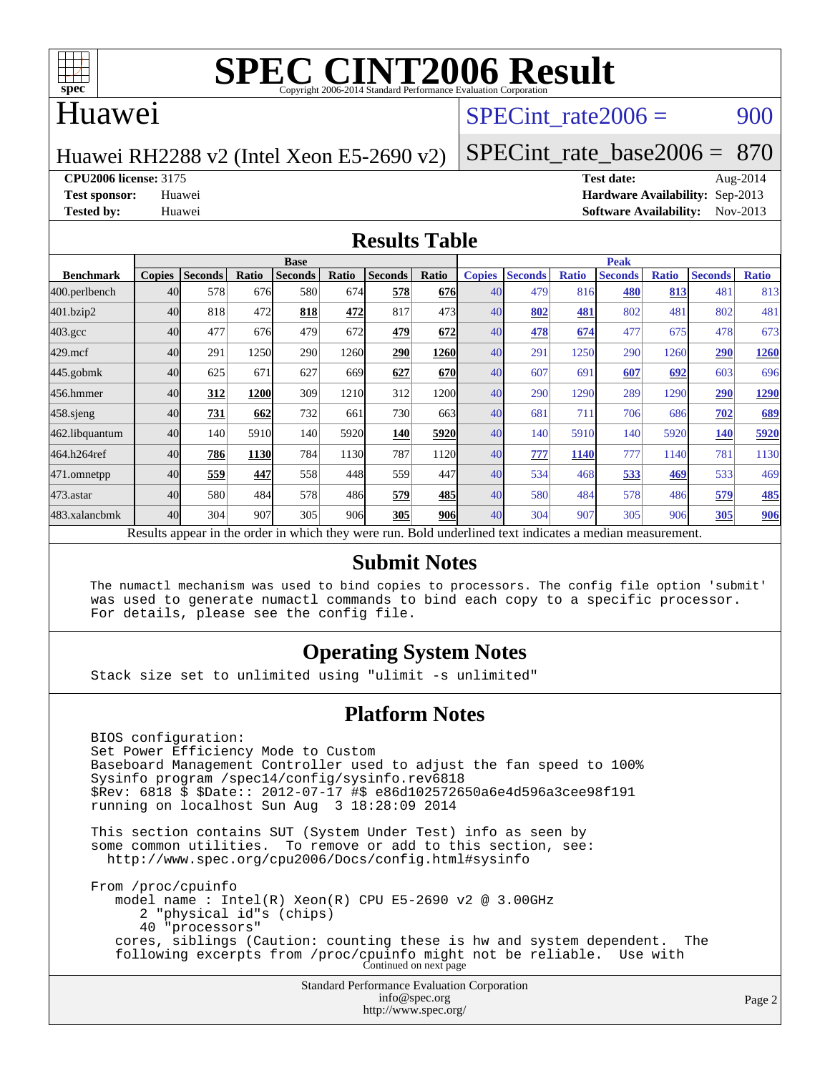

### Huawei

### SPECint rate $2006 = 900$

Huawei RH2288 v2 (Intel Xeon E5-2690 v2)

[SPECint\\_rate\\_base2006 =](http://www.spec.org/auto/cpu2006/Docs/result-fields.html#SPECintratebase2006) 870

**[CPU2006 license:](http://www.spec.org/auto/cpu2006/Docs/result-fields.html#CPU2006license)** 3175 **[Test date:](http://www.spec.org/auto/cpu2006/Docs/result-fields.html#Testdate)** Aug-2014

**[Test sponsor:](http://www.spec.org/auto/cpu2006/Docs/result-fields.html#Testsponsor)** Huawei **[Hardware Availability:](http://www.spec.org/auto/cpu2006/Docs/result-fields.html#HardwareAvailability)** Sep-2013 **[Tested by:](http://www.spec.org/auto/cpu2006/Docs/result-fields.html#Testedby)** Huawei **[Software Availability:](http://www.spec.org/auto/cpu2006/Docs/result-fields.html#SoftwareAvailability)** Nov-2013

#### **[Results Table](http://www.spec.org/auto/cpu2006/Docs/result-fields.html#ResultsTable)**

|                                                                                                          | <b>Base</b>   |                |       |                |       |                |            | <b>Peak</b>   |                |              |                |              |                |              |
|----------------------------------------------------------------------------------------------------------|---------------|----------------|-------|----------------|-------|----------------|------------|---------------|----------------|--------------|----------------|--------------|----------------|--------------|
| <b>Benchmark</b>                                                                                         | <b>Copies</b> | <b>Seconds</b> | Ratio | <b>Seconds</b> | Ratio | <b>Seconds</b> | Ratio      | <b>Copies</b> | <b>Seconds</b> | <b>Ratio</b> | <b>Seconds</b> | <b>Ratio</b> | <b>Seconds</b> | <b>Ratio</b> |
| 400.perlbench                                                                                            | 40            | 578            | 676   | 580            | 674   | 578            | <b>676</b> | 40            | 479            | 816          | 480            | 813          | 481            | 813          |
| 401.bzip2                                                                                                | 40            | 818            | 472   | 818            | 472   | 817            | 473        | 40            | 802            | 481          | 802            | 481          | 802            | 481          |
| $403.\text{gcc}$                                                                                         | 40            | 477            | 676   | 479            | 672   | 479            | 672        | 40            | 478            | 674          | 477            | 675          | 478            | 673          |
| $429$ .mcf                                                                                               | 40            | 291            | 1250  | 290            | 1260  | 290            | 1260       | 40            | 291            | 1250         | 290            | 1260         | 290            | 1260         |
| $445$ .gobm $k$                                                                                          | 40            | 625            | 671   | 627            | 669   | 627            | 670        | 40            | 607            | 691          | 607            | 692          | 603            | 696          |
| 456.hmmer                                                                                                | 40            | 312            | 1200  | 309            | 1210  | 312            | 1200       | 40            | 290            | 1290         | 289            | 1290         | 290            | 1290         |
| $458$ .sjeng                                                                                             | 40            | 731            | 662   | 732            | 661   | 730            | 663        | 40            | 681            | 711          | 706            | 686          | 702            | <u>689</u>   |
| 462.libquantum                                                                                           | 40            | 140            | 5910  | 140            | 5920  | 140            | 5920       | 40            | 140            | 5910         | 140            | 5920         | 140            | 5920         |
| 464.h264ref                                                                                              | 40            | 786            | 1130  | 784            | 1130  | 787            | 1120       | 40            | 777            | 1140         | 777            | 1140         | 781            | 1130         |
| 471.omnetpp                                                                                              | 40            | 559            | 447   | 558            | 448   | 559            | 447        | 40            | 534            | 468          | 533            | 469          | 533            | 469          |
| 473.astar                                                                                                | 40            | 580            | 484   | 578            | 486   | 579            | 485        | 40            | 580            | 484          | 578            | 486          | 579            | 485          |
| 483.xalancbmk                                                                                            | 40            | 304            | 907   | 305            | 906   | 305            | 906        | 40            | 304            | 907          | 305            | 906          | 305            | 906          |
| Results appear in the order in which they were run. Bold underlined text indicates a median measurement. |               |                |       |                |       |                |            |               |                |              |                |              |                |              |

#### **[Submit Notes](http://www.spec.org/auto/cpu2006/Docs/result-fields.html#SubmitNotes)**

 The numactl mechanism was used to bind copies to processors. The config file option 'submit' was used to generate numactl commands to bind each copy to a specific processor. For details, please see the config file.

### **[Operating System Notes](http://www.spec.org/auto/cpu2006/Docs/result-fields.html#OperatingSystemNotes)**

Stack size set to unlimited using "ulimit -s unlimited"

#### **[Platform Notes](http://www.spec.org/auto/cpu2006/Docs/result-fields.html#PlatformNotes)**

 BIOS configuration: Set Power Efficiency Mode to Custom Baseboard Management Controller used to adjust the fan speed to 100% Sysinfo program /spec14/config/sysinfo.rev6818 \$Rev: 6818 \$ \$Date:: 2012-07-17 #\$ e86d102572650a6e4d596a3cee98f191 running on localhost Sun Aug 3 18:28:09 2014 This section contains SUT (System Under Test) info as seen by some common utilities. To remove or add to this section, see: <http://www.spec.org/cpu2006/Docs/config.html#sysinfo> From /proc/cpuinfo model name : Intel(R) Xeon(R) CPU E5-2690 v2 @ 3.00GHz 2 "physical id"s (chips) 40 "processors" cores, siblings (Caution: counting these is hw and system dependent. The following excerpts from /proc/cpuinfo might not be reliable. Use with Continued on next page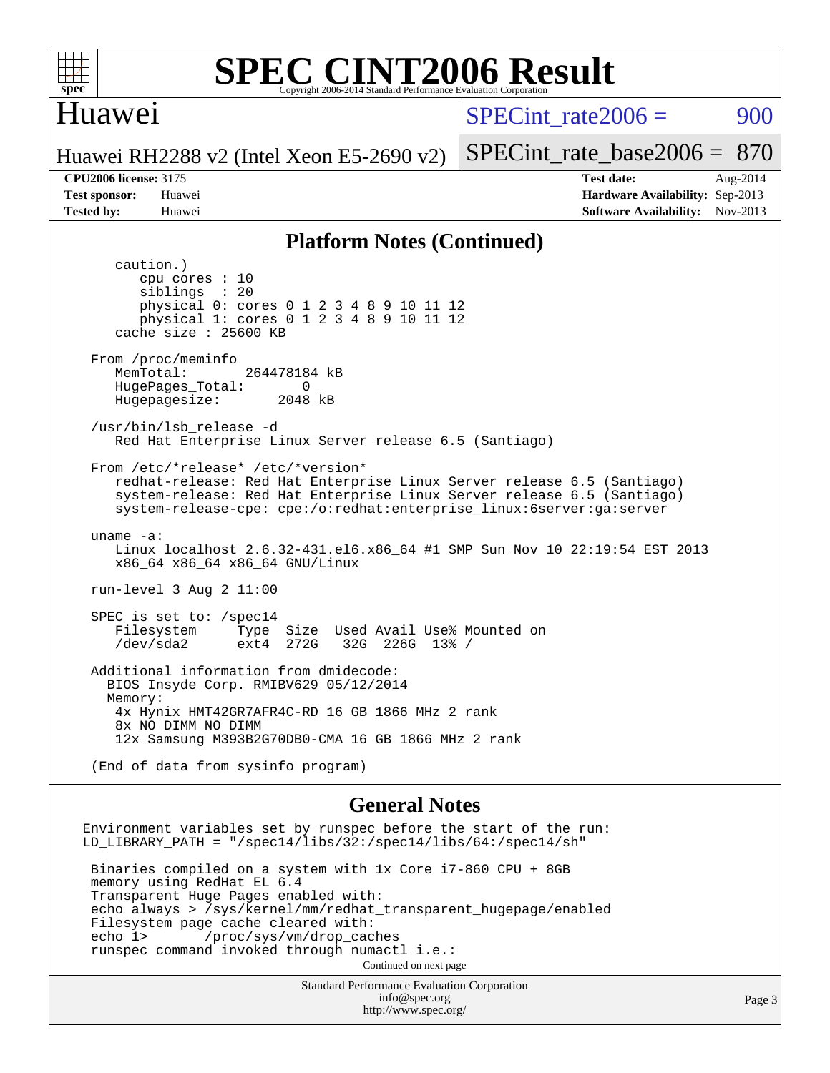

#### **[SPEC CINT2006 Result](http://www.spec.org/auto/cpu2006/Docs/result-fields.html#SPECCINT2006Result)** Copyright 2006-2014 Standard Performance Evaluation C

## Huawei

 $SPECint rate2006 = 900$ 

[SPECint\\_rate\\_base2006 =](http://www.spec.org/auto/cpu2006/Docs/result-fields.html#SPECintratebase2006) 870

Huawei RH2288 v2 (Intel Xeon E5-2690 v2)

**[CPU2006 license:](http://www.spec.org/auto/cpu2006/Docs/result-fields.html#CPU2006license)** 3175 **[Test date:](http://www.spec.org/auto/cpu2006/Docs/result-fields.html#Testdate)** Aug-2014 **[Test sponsor:](http://www.spec.org/auto/cpu2006/Docs/result-fields.html#Testsponsor)** Huawei **[Hardware Availability:](http://www.spec.org/auto/cpu2006/Docs/result-fields.html#HardwareAvailability)** Sep-2013 **[Tested by:](http://www.spec.org/auto/cpu2006/Docs/result-fields.html#Testedby)** Huawei **[Software Availability:](http://www.spec.org/auto/cpu2006/Docs/result-fields.html#SoftwareAvailability)** Nov-2013

#### **[Platform Notes \(Continued\)](http://www.spec.org/auto/cpu2006/Docs/result-fields.html#PlatformNotes)**

 caution.) cpu cores : 10 siblings : 20 physical 0: cores 0 1 2 3 4 8 9 10 11 12 physical 1: cores 0 1 2 3 4 8 9 10 11 12 cache size : 25600 KB From /proc/meminfo MemTotal: 264478184 kB HugePages\_Total: 0<br>Hugepagesize: 2048 kB Hugepagesize: /usr/bin/lsb\_release -d Red Hat Enterprise Linux Server release 6.5 (Santiago) From /etc/\*release\* /etc/\*version\* redhat-release: Red Hat Enterprise Linux Server release 6.5 (Santiago) system-release: Red Hat Enterprise Linux Server release 6.5 (Santiago) system-release-cpe: cpe:/o:redhat:enterprise\_linux:6server:ga:server uname -a: Linux localhost 2.6.32-431.el6.x86\_64 #1 SMP Sun Nov 10 22:19:54 EST 2013 x86\_64 x86\_64 x86\_64 GNU/Linux run-level 3 Aug 2 11:00 SPEC is set to: /spec14 Filesystem Type Size Used Avail Use% Mounted on<br>
/dev/sda2 ext4 272G 32G 226G 13% / 32G 226G 13% / Additional information from dmidecode: BIOS Insyde Corp. RMIBV629 05/12/2014 Memory: 4x Hynix HMT42GR7AFR4C-RD 16 GB 1866 MHz 2 rank 8x NO DIMM NO DIMM 12x Samsung M393B2G70DB0-CMA 16 GB 1866 MHz 2 rank (End of data from sysinfo program) **[General Notes](http://www.spec.org/auto/cpu2006/Docs/result-fields.html#GeneralNotes)** Environment variables set by runspec before the start of the run: LD\_LIBRARY\_PATH = "/spec14/libs/32:/spec14/libs/64:/spec14/sh"

 Binaries compiled on a system with 1x Core i7-860 CPU + 8GB memory using RedHat EL 6.4 Transparent Huge Pages enabled with: echo always > /sys/kernel/mm/redhat\_transparent\_hugepage/enabled Filesystem page cache cleared with:<br>echo 1> /proc/sys/vm/drop cac /proc/sys/vm/drop\_caches runspec command invoked through numactl i.e.: Continued on next page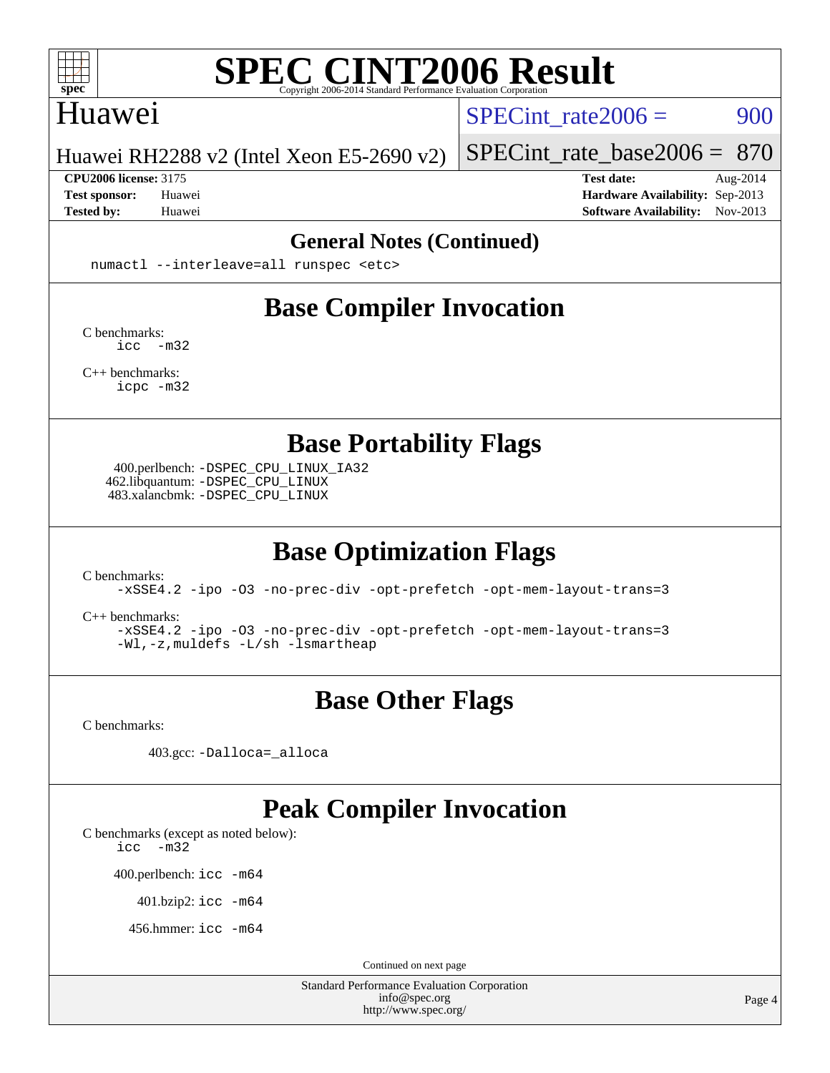

### Huawei

SPECint rate $2006 = 900$ 

Huawei RH2288 v2 (Intel Xeon E5-2690 v2)

**[CPU2006 license:](http://www.spec.org/auto/cpu2006/Docs/result-fields.html#CPU2006license)** 3175 **[Test date:](http://www.spec.org/auto/cpu2006/Docs/result-fields.html#Testdate)** Aug-2014

[SPECint\\_rate\\_base2006 =](http://www.spec.org/auto/cpu2006/Docs/result-fields.html#SPECintratebase2006) 870

**[Test sponsor:](http://www.spec.org/auto/cpu2006/Docs/result-fields.html#Testsponsor)** Huawei **[Hardware Availability:](http://www.spec.org/auto/cpu2006/Docs/result-fields.html#HardwareAvailability)** Sep-2013 **[Tested by:](http://www.spec.org/auto/cpu2006/Docs/result-fields.html#Testedby)** Huawei **[Software Availability:](http://www.spec.org/auto/cpu2006/Docs/result-fields.html#SoftwareAvailability)** Nov-2013

#### **[General Notes \(Continued\)](http://www.spec.org/auto/cpu2006/Docs/result-fields.html#GeneralNotes)**

numactl --interleave=all runspec <etc>

# **[Base Compiler Invocation](http://www.spec.org/auto/cpu2006/Docs/result-fields.html#BaseCompilerInvocation)**

[C benchmarks](http://www.spec.org/auto/cpu2006/Docs/result-fields.html#Cbenchmarks): [icc -m32](http://www.spec.org/cpu2006/results/res2014q3/cpu2006-20140810-30851.flags.html#user_CCbase_intel_icc_5ff4a39e364c98233615fdd38438c6f2)

[C++ benchmarks:](http://www.spec.org/auto/cpu2006/Docs/result-fields.html#CXXbenchmarks) [icpc -m32](http://www.spec.org/cpu2006/results/res2014q3/cpu2006-20140810-30851.flags.html#user_CXXbase_intel_icpc_4e5a5ef1a53fd332b3c49e69c3330699)

**[Base Portability Flags](http://www.spec.org/auto/cpu2006/Docs/result-fields.html#BasePortabilityFlags)**

 400.perlbench: [-DSPEC\\_CPU\\_LINUX\\_IA32](http://www.spec.org/cpu2006/results/res2014q3/cpu2006-20140810-30851.flags.html#b400.perlbench_baseCPORTABILITY_DSPEC_CPU_LINUX_IA32) 462.libquantum: [-DSPEC\\_CPU\\_LINUX](http://www.spec.org/cpu2006/results/res2014q3/cpu2006-20140810-30851.flags.html#b462.libquantum_baseCPORTABILITY_DSPEC_CPU_LINUX) 483.xalancbmk: [-DSPEC\\_CPU\\_LINUX](http://www.spec.org/cpu2006/results/res2014q3/cpu2006-20140810-30851.flags.html#b483.xalancbmk_baseCXXPORTABILITY_DSPEC_CPU_LINUX)

# **[Base Optimization Flags](http://www.spec.org/auto/cpu2006/Docs/result-fields.html#BaseOptimizationFlags)**

[C benchmarks](http://www.spec.org/auto/cpu2006/Docs/result-fields.html#Cbenchmarks):

[-xSSE4.2](http://www.spec.org/cpu2006/results/res2014q3/cpu2006-20140810-30851.flags.html#user_CCbase_f-xSSE42_f91528193cf0b216347adb8b939d4107) [-ipo](http://www.spec.org/cpu2006/results/res2014q3/cpu2006-20140810-30851.flags.html#user_CCbase_f-ipo) [-O3](http://www.spec.org/cpu2006/results/res2014q3/cpu2006-20140810-30851.flags.html#user_CCbase_f-O3) [-no-prec-div](http://www.spec.org/cpu2006/results/res2014q3/cpu2006-20140810-30851.flags.html#user_CCbase_f-no-prec-div) [-opt-prefetch](http://www.spec.org/cpu2006/results/res2014q3/cpu2006-20140810-30851.flags.html#user_CCbase_f-opt-prefetch) [-opt-mem-layout-trans=3](http://www.spec.org/cpu2006/results/res2014q3/cpu2006-20140810-30851.flags.html#user_CCbase_f-opt-mem-layout-trans_a7b82ad4bd7abf52556d4961a2ae94d5)

[C++ benchmarks:](http://www.spec.org/auto/cpu2006/Docs/result-fields.html#CXXbenchmarks)

[-xSSE4.2](http://www.spec.org/cpu2006/results/res2014q3/cpu2006-20140810-30851.flags.html#user_CXXbase_f-xSSE42_f91528193cf0b216347adb8b939d4107) [-ipo](http://www.spec.org/cpu2006/results/res2014q3/cpu2006-20140810-30851.flags.html#user_CXXbase_f-ipo) [-O3](http://www.spec.org/cpu2006/results/res2014q3/cpu2006-20140810-30851.flags.html#user_CXXbase_f-O3) [-no-prec-div](http://www.spec.org/cpu2006/results/res2014q3/cpu2006-20140810-30851.flags.html#user_CXXbase_f-no-prec-div) [-opt-prefetch](http://www.spec.org/cpu2006/results/res2014q3/cpu2006-20140810-30851.flags.html#user_CXXbase_f-opt-prefetch) [-opt-mem-layout-trans=3](http://www.spec.org/cpu2006/results/res2014q3/cpu2006-20140810-30851.flags.html#user_CXXbase_f-opt-mem-layout-trans_a7b82ad4bd7abf52556d4961a2ae94d5) [-Wl,-z,muldefs](http://www.spec.org/cpu2006/results/res2014q3/cpu2006-20140810-30851.flags.html#user_CXXbase_link_force_multiple1_74079c344b956b9658436fd1b6dd3a8a) [-L/sh -lsmartheap](http://www.spec.org/cpu2006/results/res2014q3/cpu2006-20140810-30851.flags.html#user_CXXbase_SmartHeap_32f6c82aa1ed9c52345d30cf6e4a0499)

# **[Base Other Flags](http://www.spec.org/auto/cpu2006/Docs/result-fields.html#BaseOtherFlags)**

[C benchmarks](http://www.spec.org/auto/cpu2006/Docs/result-fields.html#Cbenchmarks):

403.gcc: [-Dalloca=\\_alloca](http://www.spec.org/cpu2006/results/res2014q3/cpu2006-20140810-30851.flags.html#b403.gcc_baseEXTRA_CFLAGS_Dalloca_be3056838c12de2578596ca5467af7f3)

## **[Peak Compiler Invocation](http://www.spec.org/auto/cpu2006/Docs/result-fields.html#PeakCompilerInvocation)**

[C benchmarks \(except as noted below\)](http://www.spec.org/auto/cpu2006/Docs/result-fields.html#Cbenchmarksexceptasnotedbelow):

[icc -m32](http://www.spec.org/cpu2006/results/res2014q3/cpu2006-20140810-30851.flags.html#user_CCpeak_intel_icc_5ff4a39e364c98233615fdd38438c6f2)

400.perlbench: [icc -m64](http://www.spec.org/cpu2006/results/res2014q3/cpu2006-20140810-30851.flags.html#user_peakCCLD400_perlbench_intel_icc_64bit_bda6cc9af1fdbb0edc3795bac97ada53)

401.bzip2: [icc -m64](http://www.spec.org/cpu2006/results/res2014q3/cpu2006-20140810-30851.flags.html#user_peakCCLD401_bzip2_intel_icc_64bit_bda6cc9af1fdbb0edc3795bac97ada53)

456.hmmer: [icc -m64](http://www.spec.org/cpu2006/results/res2014q3/cpu2006-20140810-30851.flags.html#user_peakCCLD456_hmmer_intel_icc_64bit_bda6cc9af1fdbb0edc3795bac97ada53)

Continued on next page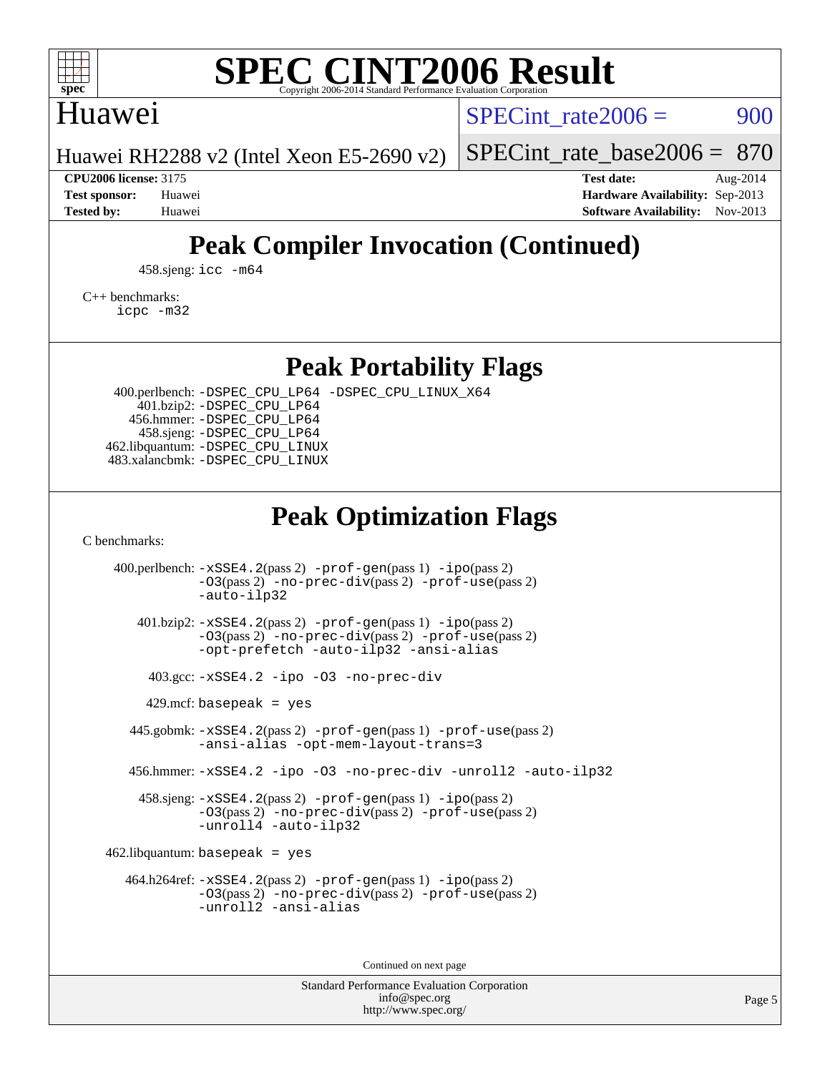

## Huawei

SPECint rate $2006 = 900$ 

Huawei RH2288 v2 (Intel Xeon E5-2690 v2)

[SPECint\\_rate\\_base2006 =](http://www.spec.org/auto/cpu2006/Docs/result-fields.html#SPECintratebase2006) 870

**[CPU2006 license:](http://www.spec.org/auto/cpu2006/Docs/result-fields.html#CPU2006license)** 3175 **[Test date:](http://www.spec.org/auto/cpu2006/Docs/result-fields.html#Testdate)** Aug-2014 **[Test sponsor:](http://www.spec.org/auto/cpu2006/Docs/result-fields.html#Testsponsor)** Huawei **[Hardware Availability:](http://www.spec.org/auto/cpu2006/Docs/result-fields.html#HardwareAvailability)** Sep-2013 **[Tested by:](http://www.spec.org/auto/cpu2006/Docs/result-fields.html#Testedby)** Huawei **[Software Availability:](http://www.spec.org/auto/cpu2006/Docs/result-fields.html#SoftwareAvailability)** Nov-2013

# **[Peak Compiler Invocation \(Continued\)](http://www.spec.org/auto/cpu2006/Docs/result-fields.html#PeakCompilerInvocation)**

458.sjeng: [icc -m64](http://www.spec.org/cpu2006/results/res2014q3/cpu2006-20140810-30851.flags.html#user_peakCCLD458_sjeng_intel_icc_64bit_bda6cc9af1fdbb0edc3795bac97ada53)

[C++ benchmarks:](http://www.spec.org/auto/cpu2006/Docs/result-fields.html#CXXbenchmarks) [icpc -m32](http://www.spec.org/cpu2006/results/res2014q3/cpu2006-20140810-30851.flags.html#user_CXXpeak_intel_icpc_4e5a5ef1a53fd332b3c49e69c3330699)

**[Peak Portability Flags](http://www.spec.org/auto/cpu2006/Docs/result-fields.html#PeakPortabilityFlags)**

 400.perlbench: [-DSPEC\\_CPU\\_LP64](http://www.spec.org/cpu2006/results/res2014q3/cpu2006-20140810-30851.flags.html#b400.perlbench_peakCPORTABILITY_DSPEC_CPU_LP64) [-DSPEC\\_CPU\\_LINUX\\_X64](http://www.spec.org/cpu2006/results/res2014q3/cpu2006-20140810-30851.flags.html#b400.perlbench_peakCPORTABILITY_DSPEC_CPU_LINUX_X64) 401.bzip2: [-DSPEC\\_CPU\\_LP64](http://www.spec.org/cpu2006/results/res2014q3/cpu2006-20140810-30851.flags.html#suite_peakCPORTABILITY401_bzip2_DSPEC_CPU_LP64) 456.hmmer: [-DSPEC\\_CPU\\_LP64](http://www.spec.org/cpu2006/results/res2014q3/cpu2006-20140810-30851.flags.html#suite_peakCPORTABILITY456_hmmer_DSPEC_CPU_LP64) 458.sjeng: [-DSPEC\\_CPU\\_LP64](http://www.spec.org/cpu2006/results/res2014q3/cpu2006-20140810-30851.flags.html#suite_peakCPORTABILITY458_sjeng_DSPEC_CPU_LP64) 462.libquantum: [-DSPEC\\_CPU\\_LINUX](http://www.spec.org/cpu2006/results/res2014q3/cpu2006-20140810-30851.flags.html#b462.libquantum_peakCPORTABILITY_DSPEC_CPU_LINUX) 483.xalancbmk: [-DSPEC\\_CPU\\_LINUX](http://www.spec.org/cpu2006/results/res2014q3/cpu2006-20140810-30851.flags.html#b483.xalancbmk_peakCXXPORTABILITY_DSPEC_CPU_LINUX)

# **[Peak Optimization Flags](http://www.spec.org/auto/cpu2006/Docs/result-fields.html#PeakOptimizationFlags)**

[C benchmarks](http://www.spec.org/auto/cpu2006/Docs/result-fields.html#Cbenchmarks):

 400.perlbench: [-xSSE4.2](http://www.spec.org/cpu2006/results/res2014q3/cpu2006-20140810-30851.flags.html#user_peakPASS2_CFLAGSPASS2_LDCFLAGS400_perlbench_f-xSSE42_f91528193cf0b216347adb8b939d4107)(pass 2) [-prof-gen](http://www.spec.org/cpu2006/results/res2014q3/cpu2006-20140810-30851.flags.html#user_peakPASS1_CFLAGSPASS1_LDCFLAGS400_perlbench_prof_gen_e43856698f6ca7b7e442dfd80e94a8fc)(pass 1) [-ipo](http://www.spec.org/cpu2006/results/res2014q3/cpu2006-20140810-30851.flags.html#user_peakPASS2_CFLAGSPASS2_LDCFLAGS400_perlbench_f-ipo)(pass 2) [-O3](http://www.spec.org/cpu2006/results/res2014q3/cpu2006-20140810-30851.flags.html#user_peakPASS2_CFLAGSPASS2_LDCFLAGS400_perlbench_f-O3)(pass 2) [-no-prec-div](http://www.spec.org/cpu2006/results/res2014q3/cpu2006-20140810-30851.flags.html#user_peakPASS2_CFLAGSPASS2_LDCFLAGS400_perlbench_f-no-prec-div)(pass 2) [-prof-use](http://www.spec.org/cpu2006/results/res2014q3/cpu2006-20140810-30851.flags.html#user_peakPASS2_CFLAGSPASS2_LDCFLAGS400_perlbench_prof_use_bccf7792157ff70d64e32fe3e1250b55)(pass 2) [-auto-ilp32](http://www.spec.org/cpu2006/results/res2014q3/cpu2006-20140810-30851.flags.html#user_peakCOPTIMIZE400_perlbench_f-auto-ilp32) 401.bzip2: [-xSSE4.2](http://www.spec.org/cpu2006/results/res2014q3/cpu2006-20140810-30851.flags.html#user_peakPASS2_CFLAGSPASS2_LDCFLAGS401_bzip2_f-xSSE42_f91528193cf0b216347adb8b939d4107)(pass 2) [-prof-gen](http://www.spec.org/cpu2006/results/res2014q3/cpu2006-20140810-30851.flags.html#user_peakPASS1_CFLAGSPASS1_LDCFLAGS401_bzip2_prof_gen_e43856698f6ca7b7e442dfd80e94a8fc)(pass 1) [-ipo](http://www.spec.org/cpu2006/results/res2014q3/cpu2006-20140810-30851.flags.html#user_peakPASS2_CFLAGSPASS2_LDCFLAGS401_bzip2_f-ipo)(pass 2) [-O3](http://www.spec.org/cpu2006/results/res2014q3/cpu2006-20140810-30851.flags.html#user_peakPASS2_CFLAGSPASS2_LDCFLAGS401_bzip2_f-O3)(pass 2) [-no-prec-div](http://www.spec.org/cpu2006/results/res2014q3/cpu2006-20140810-30851.flags.html#user_peakPASS2_CFLAGSPASS2_LDCFLAGS401_bzip2_f-no-prec-div)(pass 2) [-prof-use](http://www.spec.org/cpu2006/results/res2014q3/cpu2006-20140810-30851.flags.html#user_peakPASS2_CFLAGSPASS2_LDCFLAGS401_bzip2_prof_use_bccf7792157ff70d64e32fe3e1250b55)(pass 2) [-opt-prefetch](http://www.spec.org/cpu2006/results/res2014q3/cpu2006-20140810-30851.flags.html#user_peakCOPTIMIZE401_bzip2_f-opt-prefetch) [-auto-ilp32](http://www.spec.org/cpu2006/results/res2014q3/cpu2006-20140810-30851.flags.html#user_peakCOPTIMIZE401_bzip2_f-auto-ilp32) [-ansi-alias](http://www.spec.org/cpu2006/results/res2014q3/cpu2006-20140810-30851.flags.html#user_peakCOPTIMIZE401_bzip2_f-ansi-alias) 403.gcc: [-xSSE4.2](http://www.spec.org/cpu2006/results/res2014q3/cpu2006-20140810-30851.flags.html#user_peakCOPTIMIZE403_gcc_f-xSSE42_f91528193cf0b216347adb8b939d4107) [-ipo](http://www.spec.org/cpu2006/results/res2014q3/cpu2006-20140810-30851.flags.html#user_peakCOPTIMIZE403_gcc_f-ipo) [-O3](http://www.spec.org/cpu2006/results/res2014q3/cpu2006-20140810-30851.flags.html#user_peakCOPTIMIZE403_gcc_f-O3) [-no-prec-div](http://www.spec.org/cpu2006/results/res2014q3/cpu2006-20140810-30851.flags.html#user_peakCOPTIMIZE403_gcc_f-no-prec-div)  $429$ .mcf: basepeak = yes 445.gobmk: [-xSSE4.2](http://www.spec.org/cpu2006/results/res2014q3/cpu2006-20140810-30851.flags.html#user_peakPASS2_CFLAGSPASS2_LDCFLAGS445_gobmk_f-xSSE42_f91528193cf0b216347adb8b939d4107)(pass 2) [-prof-gen](http://www.spec.org/cpu2006/results/res2014q3/cpu2006-20140810-30851.flags.html#user_peakPASS1_CFLAGSPASS1_LDCFLAGS445_gobmk_prof_gen_e43856698f6ca7b7e442dfd80e94a8fc)(pass 1) [-prof-use](http://www.spec.org/cpu2006/results/res2014q3/cpu2006-20140810-30851.flags.html#user_peakPASS2_CFLAGSPASS2_LDCFLAGS445_gobmk_prof_use_bccf7792157ff70d64e32fe3e1250b55)(pass 2) [-ansi-alias](http://www.spec.org/cpu2006/results/res2014q3/cpu2006-20140810-30851.flags.html#user_peakCOPTIMIZE445_gobmk_f-ansi-alias) [-opt-mem-layout-trans=3](http://www.spec.org/cpu2006/results/res2014q3/cpu2006-20140810-30851.flags.html#user_peakCOPTIMIZE445_gobmk_f-opt-mem-layout-trans_a7b82ad4bd7abf52556d4961a2ae94d5) 456.hmmer: [-xSSE4.2](http://www.spec.org/cpu2006/results/res2014q3/cpu2006-20140810-30851.flags.html#user_peakCOPTIMIZE456_hmmer_f-xSSE42_f91528193cf0b216347adb8b939d4107) [-ipo](http://www.spec.org/cpu2006/results/res2014q3/cpu2006-20140810-30851.flags.html#user_peakCOPTIMIZE456_hmmer_f-ipo) [-O3](http://www.spec.org/cpu2006/results/res2014q3/cpu2006-20140810-30851.flags.html#user_peakCOPTIMIZE456_hmmer_f-O3) [-no-prec-div](http://www.spec.org/cpu2006/results/res2014q3/cpu2006-20140810-30851.flags.html#user_peakCOPTIMIZE456_hmmer_f-no-prec-div) [-unroll2](http://www.spec.org/cpu2006/results/res2014q3/cpu2006-20140810-30851.flags.html#user_peakCOPTIMIZE456_hmmer_f-unroll_784dae83bebfb236979b41d2422d7ec2) [-auto-ilp32](http://www.spec.org/cpu2006/results/res2014q3/cpu2006-20140810-30851.flags.html#user_peakCOPTIMIZE456_hmmer_f-auto-ilp32) 458.sjeng: [-xSSE4.2](http://www.spec.org/cpu2006/results/res2014q3/cpu2006-20140810-30851.flags.html#user_peakPASS2_CFLAGSPASS2_LDCFLAGS458_sjeng_f-xSSE42_f91528193cf0b216347adb8b939d4107)(pass 2) [-prof-gen](http://www.spec.org/cpu2006/results/res2014q3/cpu2006-20140810-30851.flags.html#user_peakPASS1_CFLAGSPASS1_LDCFLAGS458_sjeng_prof_gen_e43856698f6ca7b7e442dfd80e94a8fc)(pass 1) [-ipo](http://www.spec.org/cpu2006/results/res2014q3/cpu2006-20140810-30851.flags.html#user_peakPASS2_CFLAGSPASS2_LDCFLAGS458_sjeng_f-ipo)(pass 2) [-O3](http://www.spec.org/cpu2006/results/res2014q3/cpu2006-20140810-30851.flags.html#user_peakPASS2_CFLAGSPASS2_LDCFLAGS458_sjeng_f-O3)(pass 2) [-no-prec-div](http://www.spec.org/cpu2006/results/res2014q3/cpu2006-20140810-30851.flags.html#user_peakPASS2_CFLAGSPASS2_LDCFLAGS458_sjeng_f-no-prec-div)(pass 2) [-prof-use](http://www.spec.org/cpu2006/results/res2014q3/cpu2006-20140810-30851.flags.html#user_peakPASS2_CFLAGSPASS2_LDCFLAGS458_sjeng_prof_use_bccf7792157ff70d64e32fe3e1250b55)(pass 2) [-unroll4](http://www.spec.org/cpu2006/results/res2014q3/cpu2006-20140810-30851.flags.html#user_peakCOPTIMIZE458_sjeng_f-unroll_4e5e4ed65b7fd20bdcd365bec371b81f) [-auto-ilp32](http://www.spec.org/cpu2006/results/res2014q3/cpu2006-20140810-30851.flags.html#user_peakCOPTIMIZE458_sjeng_f-auto-ilp32)  $462$ .libquantum: basepeak = yes 464.h264ref: [-xSSE4.2](http://www.spec.org/cpu2006/results/res2014q3/cpu2006-20140810-30851.flags.html#user_peakPASS2_CFLAGSPASS2_LDCFLAGS464_h264ref_f-xSSE42_f91528193cf0b216347adb8b939d4107)(pass 2) [-prof-gen](http://www.spec.org/cpu2006/results/res2014q3/cpu2006-20140810-30851.flags.html#user_peakPASS1_CFLAGSPASS1_LDCFLAGS464_h264ref_prof_gen_e43856698f6ca7b7e442dfd80e94a8fc)(pass 1) [-ipo](http://www.spec.org/cpu2006/results/res2014q3/cpu2006-20140810-30851.flags.html#user_peakPASS2_CFLAGSPASS2_LDCFLAGS464_h264ref_f-ipo)(pass 2) [-O3](http://www.spec.org/cpu2006/results/res2014q3/cpu2006-20140810-30851.flags.html#user_peakPASS2_CFLAGSPASS2_LDCFLAGS464_h264ref_f-O3)(pass 2) [-no-prec-div](http://www.spec.org/cpu2006/results/res2014q3/cpu2006-20140810-30851.flags.html#user_peakPASS2_CFLAGSPASS2_LDCFLAGS464_h264ref_f-no-prec-div)(pass 2) [-prof-use](http://www.spec.org/cpu2006/results/res2014q3/cpu2006-20140810-30851.flags.html#user_peakPASS2_CFLAGSPASS2_LDCFLAGS464_h264ref_prof_use_bccf7792157ff70d64e32fe3e1250b55)(pass 2) [-unroll2](http://www.spec.org/cpu2006/results/res2014q3/cpu2006-20140810-30851.flags.html#user_peakCOPTIMIZE464_h264ref_f-unroll_784dae83bebfb236979b41d2422d7ec2) [-ansi-alias](http://www.spec.org/cpu2006/results/res2014q3/cpu2006-20140810-30851.flags.html#user_peakCOPTIMIZE464_h264ref_f-ansi-alias)

Continued on next page